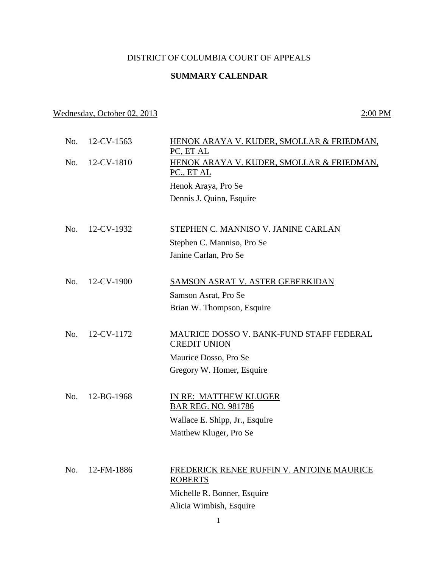## DISTRICT OF COLUMBIA COURT OF APPEALS

## **SUMMARY CALENDAR**

## Wednesday, October 02, 2013 2:00 PM

| No. | 12-CV-1563 | HENOK ARAYA V. KUDER, SMOLLAR & FRIEDMAN,<br>PC, ET AL          |
|-----|------------|-----------------------------------------------------------------|
| No. | 12-CV-1810 | HENOK ARAYA V. KUDER, SMOLLAR & FRIEDMAN,<br>PC., ET AL         |
|     |            |                                                                 |
|     |            | Henok Araya, Pro Se                                             |
|     |            | Dennis J. Quinn, Esquire                                        |
| No. | 12-CV-1932 | STEPHEN C. MANNISO V. JANINE CARLAN                             |
|     |            |                                                                 |
|     |            | Stephen C. Manniso, Pro Se                                      |
|     |            | Janine Carlan, Pro Se                                           |
| No. | 12-CV-1900 | <b>SAMSON ASRAT V. ASTER GEBERKIDAN</b>                         |
|     |            | Samson Asrat, Pro Se                                            |
|     |            | Brian W. Thompson, Esquire                                      |
|     |            |                                                                 |
| No. | 12-CV-1172 | MAURICE DOSSO V. BANK-FUND STAFF FEDERAL<br><b>CREDIT UNION</b> |
|     |            | Maurice Dosso, Pro Se                                           |
|     |            | Gregory W. Homer, Esquire                                       |
|     |            |                                                                 |
| No. | 12-BG-1968 | IN RE: MATTHEW KLUGER                                           |
|     |            | <b>BAR REG. NO. 981786</b>                                      |
|     |            | Wallace E. Shipp, Jr., Esquire                                  |
|     |            | Matthew Kluger, Pro Se                                          |
|     |            |                                                                 |
| No. | 12-FM-1886 | FREDERICK RENEE RUFFIN V. ANTOINE MAURICE                       |
|     |            | <b>ROBERTS</b>                                                  |
|     |            | Michelle R. Bonner, Esquire                                     |
|     |            | Alicia Wimbish, Esquire                                         |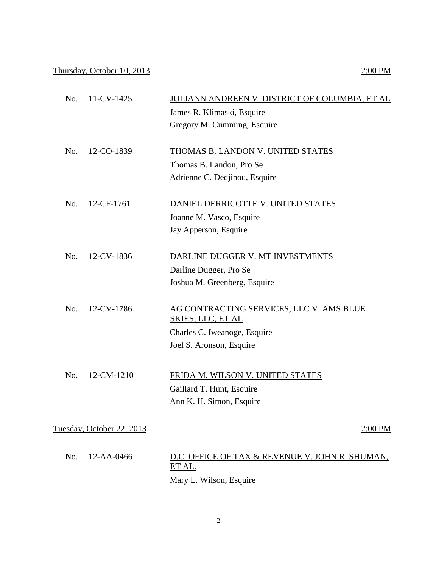## Thursday, October 10, 2013 2:00 PM

| No. | 11-CV-1425                | JULIANN ANDREEN V. DISTRICT OF COLUMBIA, ET AL<br>James R. Klimaski, Esquire<br>Gregory M. Cumming, Esquire                      |
|-----|---------------------------|----------------------------------------------------------------------------------------------------------------------------------|
| No. | 12-CO-1839                | <b>THOMAS B. LANDON V. UNITED STATES</b><br>Thomas B. Landon, Pro Se<br>Adrienne C. Dedjinou, Esquire                            |
| No. | 12-CF-1761                | DANIEL DERRICOTTE V. UNITED STATES<br>Joanne M. Vasco, Esquire<br>Jay Apperson, Esquire                                          |
| No. | 12-CV-1836                | DARLINE DUGGER V. MT INVESTMENTS<br>Darline Dugger, Pro Se<br>Joshua M. Greenberg, Esquire                                       |
| No. | 12-CV-1786                | AG CONTRACTING SERVICES, LLC V. AMS BLUE<br><b>SKIES, LLC, ET AL</b><br>Charles C. Iweanoge, Esquire<br>Joel S. Aronson, Esquire |
| No. | 12-CM-1210                | FRIDA M. WILSON V. UNITED STATES<br>Gaillard T. Hunt, Esquire<br>Ann K. H. Simon, Esquire                                        |
|     | Tuesday, October 22, 2013 | 2:00 PM                                                                                                                          |
| No. | 12-AA-0466                | D.C. OFFICE OF TAX & REVENUE V. JOHN R. SHUMAN,<br>ET AL.<br>Mary L. Wilson, Esquire                                             |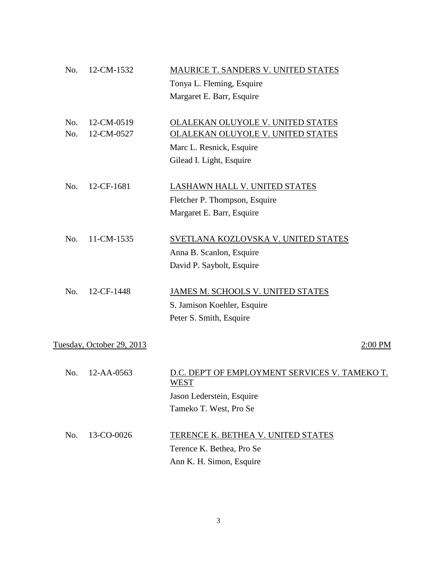| No. | 12-CM-1532                | MAURICE T. SANDERS V. UNITED STATES                    |
|-----|---------------------------|--------------------------------------------------------|
|     |                           | Tonya L. Fleming, Esquire                              |
|     |                           | Margaret E. Barr, Esquire                              |
| No. | 12-CM-0519                | OLALEKAN OLUYOLE V. UNITED STATES                      |
| No. | 12-CM-0527                | <b>OLALEKAN OLUYOLE V. UNITED STATES</b>               |
|     |                           | Marc L. Resnick, Esquire                               |
|     |                           | Gilead I. Light, Esquire                               |
| No. | 12-CF-1681                | <b>LASHAWN HALL V. UNITED STATES</b>                   |
|     |                           | Fletcher P. Thompson, Esquire                          |
|     |                           | Margaret E. Barr, Esquire                              |
| No. | 11-CM-1535                | SVETLANA KOZLOVSKA V. UNITED STATES                    |
|     |                           | Anna B. Scanlon, Esquire                               |
|     |                           | David P. Saybolt, Esquire                              |
| No. | 12-CF-1448                | JAMES M. SCHOOLS V. UNITED STATES                      |
|     |                           | S. Jamison Koehler, Esquire                            |
|     |                           | Peter S. Smith, Esquire                                |
|     | Tuesday, October 29, 2013 | $2:00$ PM                                              |
| No. | 12-AA-0563                | D.C. DEP'T OF EMPLOYMENT SERVICES V. TAMEKO T.<br>WEST |
|     |                           | Jason Lederstein, Esquire                              |
|     |                           | Tameko T. West, Pro Se                                 |
| No. | 13-CO-0026                | <b>TERENCE K. BETHEA V. UNITED STATES</b>              |
|     |                           | Terence K. Bethea, Pro Se                              |
|     |                           | Ann K. H. Simon, Esquire                               |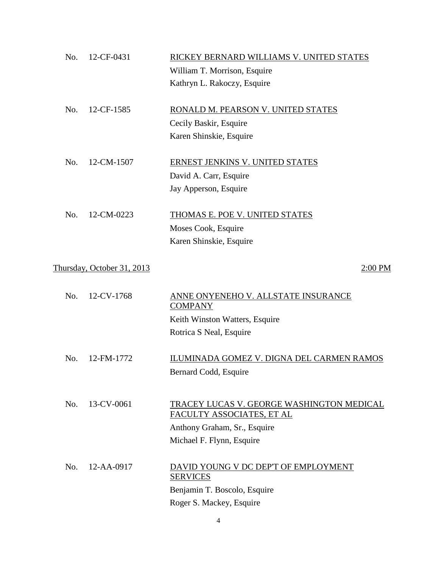| No. | 12-CF-0431                 | RICKEY BERNARD WILLIAMS V. UNITED STATES                               |
|-----|----------------------------|------------------------------------------------------------------------|
|     |                            | William T. Morrison, Esquire                                           |
|     |                            | Kathryn L. Rakoczy, Esquire                                            |
| No. | 12-CF-1585                 | RONALD M. PEARSON V. UNITED STATES                                     |
|     |                            | Cecily Baskir, Esquire                                                 |
|     |                            | Karen Shinskie, Esquire                                                |
| No. | 12-CM-1507                 | ERNEST JENKINS V. UNITED STATES                                        |
|     |                            | David A. Carr, Esquire                                                 |
|     |                            | Jay Apperson, Esquire                                                  |
| No. | 12-CM-0223                 | THOMAS E. POE V. UNITED STATES                                         |
|     |                            | Moses Cook, Esquire                                                    |
|     |                            | Karen Shinskie, Esquire                                                |
|     | Thursday, October 31, 2013 | 2:00 PM                                                                |
| No. | 12-CV-1768                 | ANNE ONYENEHO V. ALLSTATE INSURANCE<br><b>COMPANY</b>                  |
|     |                            | Keith Winston Watters, Esquire                                         |
|     |                            | Rotrica S Neal, Esquire                                                |
| No. | 12-FM-1772                 | ILUMINADA GOMEZ V. DIGNA DEL CARMEN RAMOS<br>Bernard Codd, Esquire     |
| No. | 13-CV-0061                 | TRACEY LUCAS V. GEORGE WASHINGTON MEDICAL<br>FACULTY ASSOCIATES, ET AL |
|     |                            | Anthony Graham, Sr., Esquire<br>Michael F. Flynn, Esquire              |
|     |                            |                                                                        |
| No. | 12-AA-0917                 | DAVID YOUNG V DC DEP'T OF EMPLOYMENT<br><b>SERVICES</b>                |
|     |                            | Benjamin T. Boscolo, Esquire                                           |
|     |                            | Roger S. Mackey, Esquire                                               |
|     |                            |                                                                        |

4